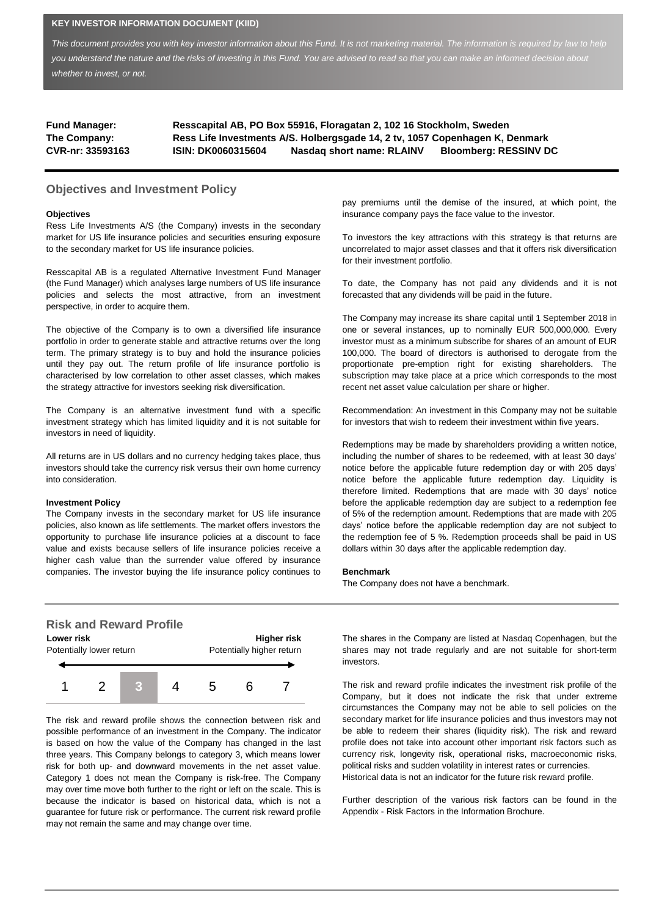### **KEY INVESTOR INFORMATION DOCUMENT (KIID)**

This document provides you with key investor information about this Fund. It is not marketing material. The information is required by law to help *you understand the nature and the risks of investing in this Fund. You are advised to read so that you can make an informed decision about whether to invest, or not.*

| <b>Fund Manager:</b> |                           | Resscapital AB, PO Box 55916, Floragatan 2, 102 16 Stockholm, Sweden         |                              |
|----------------------|---------------------------|------------------------------------------------------------------------------|------------------------------|
| The Company:         |                           | Ress Life Investments A/S. Holbergsgade 14, 2 tv, 1057 Copenhagen K, Denmark |                              |
| CVR-nr: 33593163     | <b>ISIN: DK0060315604</b> | Nasdag short name: RLAINV                                                    | <b>Bloomberg: RESSINV DC</b> |

## **Objectives and Investment Policy**

#### **Objectives**

Ress Life Investments A/S (the Company) invests in the secondary market for US life insurance policies and securities ensuring exposure to the secondary market for US life insurance policies.

Resscapital AB is a regulated Alternative Investment Fund Manager (the Fund Manager) which analyses large numbers of US life insurance policies and selects the most attractive, from an investment perspective, in order to acquire them.

The objective of the Company is to own a diversified life insurance portfolio in order to generate stable and attractive returns over the long term. The primary strategy is to buy and hold the insurance policies until they pay out. The return profile of life insurance portfolio is characterised by low correlation to other asset classes, which makes the strategy attractive for investors seeking risk diversification.

The Company is an alternative investment fund with a specific investment strategy which has limited liquidity and it is not suitable for investors in need of liquidity.

All returns are in US dollars and no currency hedging takes place, thus investors should take the currency risk versus their own home currency into consideration.

### **Investment Policy**

The Company invests in the secondary market for US life insurance policies, also known as life settlements. The market offers investors the opportunity to purchase life insurance policies at a discount to face value and exists because sellers of life insurance policies receive a higher cash value than the surrender value offered by insurance companies. The investor buying the life insurance policy continues to



The risk and reward profile shows the connection between risk and possible performance of an investment in the Company. The indicator is based on how the value of the Company has changed in the last three years. This Company belongs to category 3, which means lower risk for both up- and downward movements in the net asset value. Category 1 does not mean the Company is risk-free. The Company may over time move both further to the right or left on the scale. This is because the indicator is based on historical data, which is not a guarantee for future risk or performance. The current risk reward profile may not remain the same and may change over time.

pay premiums until the demise of the insured, at which point, the insurance company pays the face value to the investor.

To investors the key attractions with this strategy is that returns are uncorrelated to major asset classes and that it offers risk diversification for their investment portfolio.

To date, the Company has not paid any dividends and it is not forecasted that any dividends will be paid in the future.

The Company may increase its share capital until 1 September 2018 in one or several instances, up to nominally EUR 500,000,000. Every investor must as a minimum subscribe for shares of an amount of EUR 100,000. The board of directors is authorised to derogate from the proportionate pre-emption right for existing shareholders. The subscription may take place at a price which corresponds to the most recent net asset value calculation per share or higher.

Recommendation: An investment in this Company may not be suitable for investors that wish to redeem their investment within five years.

Redemptions may be made by shareholders providing a written notice, including the number of shares to be redeemed, with at least 30 days' notice before the applicable future redemption day or with 205 days' notice before the applicable future redemption day. Liquidity is therefore limited. Redemptions that are made with 30 days' notice before the applicable redemption day are subject to a redemption fee of 5% of the redemption amount. Redemptions that are made with 205 days' notice before the applicable redemption day are not subject to the redemption fee of 5 %. Redemption proceeds shall be paid in US dollars within 30 days after the applicable redemption day.

#### **Benchmark**

The Company does not have a benchmark.

The shares in the Company are listed at Nasdaq Copenhagen, but the shares may not trade regularly and are not suitable for short-term investors.

The risk and reward profile indicates the investment risk profile of the Company, but it does not indicate the risk that under extreme circumstances the Company may not be able to sell policies on the secondary market for life insurance policies and thus investors may not be able to redeem their shares (liquidity risk). The risk and reward profile does not take into account other important risk factors such as currency risk, longevity risk, operational risks, macroeconomic risks, political risks and sudden volatility in interest rates or currencies. Historical data is not an indicator for the future risk reward profile.

Further description of the various risk factors can be found in the Appendix - Risk Factors in the Information Brochure.